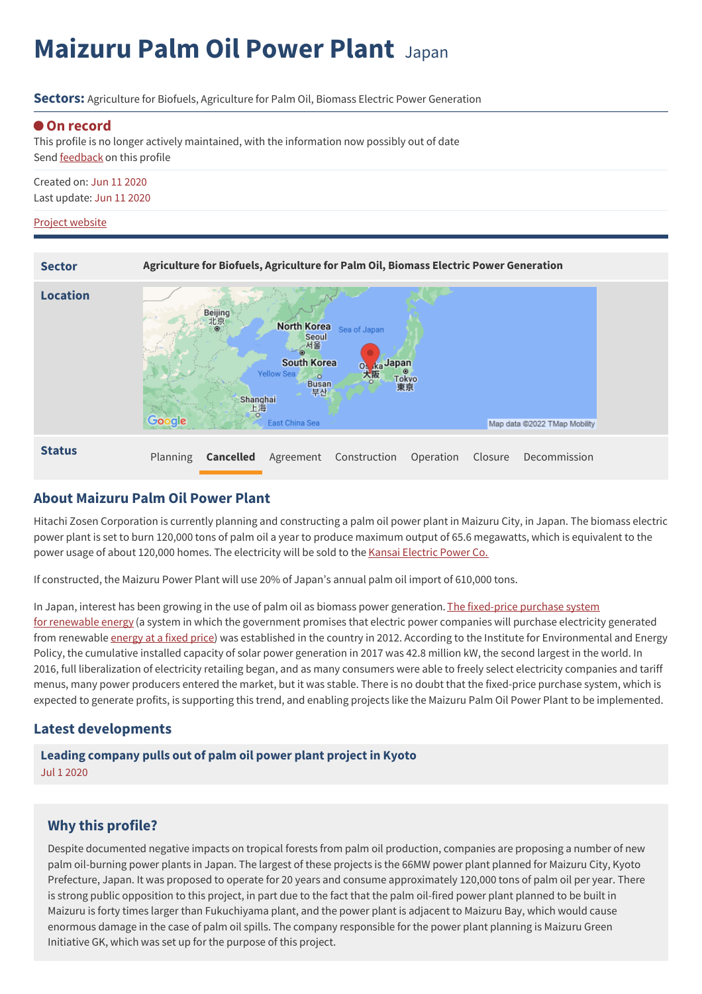# **Maizuru Palm Oil Power Plant** Japan

**Sectors:** Agriculture for Biofuels, Agriculture for Palm Oil, Biomass Electric Power Generation

### **On record**

This profile is no longer actively maintained, with the information now possibly out of date Send [feedback](https://www.banktrack.org/feedback/dodgydeal/maizuru_palm_oil_power_plant) on this profile

Created on: Jun 11 2020 Last update: Jun 11 2020

#### Project website



## **About Maizuru Palm Oil Power Plant**

Hitachi Zosen Corporation is currently planning and constructing a palm oil power plant in Maizuru City, in Japan. The biomass electric power plant is set to burn 120,000 tons of palm oil a year to produce maximum output of 65.6 megawatts, which is equivalent to the power usage of about 120,000 homes. The electricity will be sold to the Kansai [Electric](https://www.kepco.co.jp/english/energy/fuel/thermal_power/plant/index.html) Power Co.

If constructed, the Maizuru Power Plant will use 20% of Japan's annual palm oil import of 610,000 tons.

In Japan, interest has been growing in the use of palm oil as biomass power generation. [T](http://www.enecho.meti.go.jp/category/saving_and_new/saiene/kaitori/)he fixed-price purchase system for renewable energy (a system in which the [government](http://www.enecho.meti.go.jp/category/saving_and_new/saiene/kaitori/) promises that electric power companies will purchase electricity generated from renewable [energy](http://www.enecho.meti.go.jp/category/saving_and_new/saiene/kaitori/) at a fixed price) was established in the country in 2012. According to the Institute for Environmental and Energy Policy, the cumulative installed capacity of solar power generation in 2017 was 42.8 million kW, the second largest in the world. In 2016, full liberalization of electricity retailing began, and as many consumers were able to freely select electricity companies and tariff menus, many power producers entered the market, but it was stable. There is no doubt that the fixed-price purchase system, which is expected to generate profits, is supporting this trend, and enabling projects like the Maizuru Palm Oil Power Plant to be implemented.

## **Latest developments**

## **Leading [company](javascript:void(0)) pulls out of palm oil power plant project in Kyoto** Jul 1 2020

## **Why this profile?**

Despite documented negative impacts on tropical forests from palm oil production, companies are proposing a number of new palm oil-burning power plants in Japan. The largest of these projects is the 66MW power plant planned for Maizuru City, Kyoto Prefecture, Japan. It was proposed to operate for 20 years and consume approximately 120,000 tons of palm oil per year. There is strong public opposition to this project, in part due to the fact that the palm oil-fired power plant planned to be built in Maizuru is forty times larger than Fukuchiyama plant, and the power plant is adjacent to Maizuru Bay, which would cause enormous damage in the case of palm oil spills. The company responsible for the power plant planning is Maizuru Green Initiative GK, which was set up for the purpose of this project.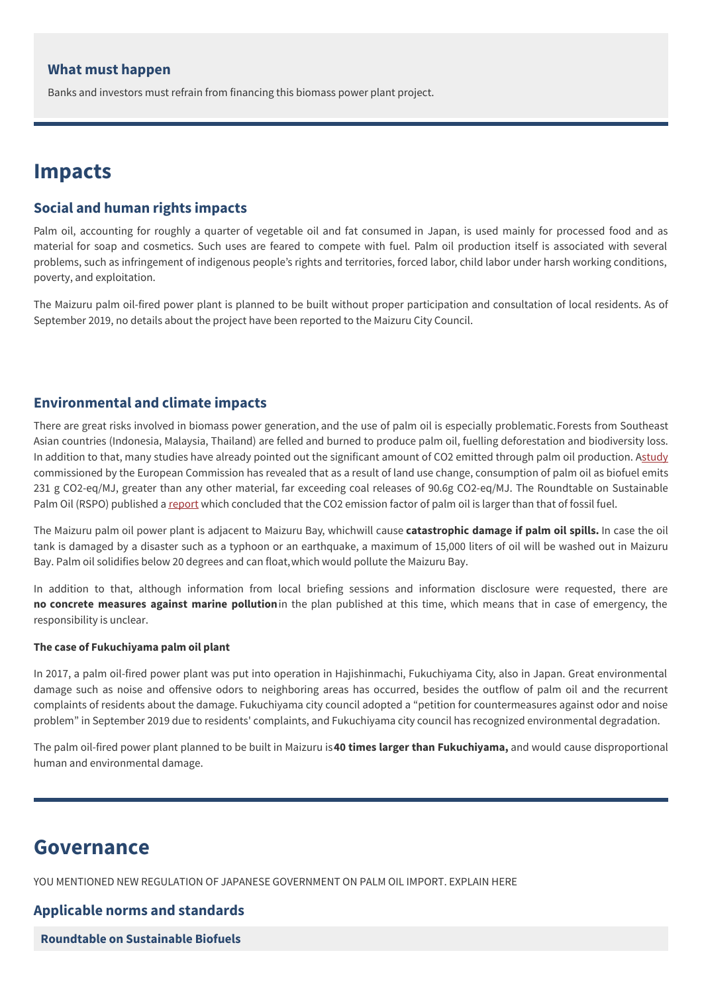### **What must happen**

Banks and investors must refrain from financing this biomass power plant project.

## **Impacts**

## **Social and human rights impacts**

Palm oil, accounting for roughly a quarter of vegetable oil and fat consumed in Japan, is used mainly for processed food and as material for soap and cosmetics. Such uses are feared to compete with fuel. Palm oil production itself is associated with several problems, such as infringement of indigenous people's rights and territories, forced labor, child labor under harsh working conditions, poverty, and exploitation.

The Maizuru palm oil-fired power plant is planned to be built without proper participation and consultation of local residents. As of September 2019, no details about the project have been reported to the Maizuru City Council.

## **Environmental and climate impacts**

There are great risks involved in biomass power generation, and the use of palm oil is especially problematic.Forests from Southeast Asian countries (Indonesia, Malaysia, Thailand) are felled and burned to produce palm oil, fuelling deforestation and biodiversity loss. In addition to that, many studies have already pointed out the significant amount of CO2 emitted through palm oil production. [Astudy](https://ec.europa.eu/energy/sites/ener/files/documents/Final%20Report_GLOBIOM_publication.pdf) commissioned by the European Commission has revealed that as a result of land use change, consumption of palm oil as biofuel emits 231 g CO2-eq/MJ, greater than any other material, far exceeding coal releases of 90.6g CO2-eq/MJ. The Roundtable on Sustainable Palm Oil (RSPO) published a [report](https://www.rspo.org/files/project/GreenHouse.Gas.Working.Group/Report-GHG-October2009.pdf) which concluded that the CO2 emission factor of palm oil is larger than that of fossil fuel.

The Maizuru palm oil power plant is adjacent to Maizuru Bay, whichwill cause **catastrophic damage if palm oil spills.** In case the oil tank is damaged by a disaster such as a typhoon or an earthquake, a maximum of 15,000 liters of oil will be washed out in Maizuru Bay. Palm oil solidifies below 20 degrees and can float,which would pollute the Maizuru Bay.

In addition to that, although information from local briefing sessions and information disclosure were requested, there are **no concrete measures against marine pollution**in the plan published at this time, which means that in case of emergency, the responsibility is unclear.

#### **The case of Fukuchiyama palm oil plant**

In 2017, a palm oil-fired power plant was put into operation in Hajishinmachi, Fukuchiyama City, also in Japan. Great environmental damage such as noise and offensive odors to neighboring areas has occurred, besides the outflow of palm oil and the recurrent complaints of residents about the damage. Fukuchiyama city council adopted a "petition for countermeasures against odor and noise problem" in September 2019 due to residents' complaints, and Fukuchiyama city council has recognized environmental degradation.

The palm oil-fired power plant planned to be built in Maizuru is**40 times larger than Fukuchiyama,** and would cause disproportional human and environmental damage.

## **Governance**

YOU MENTIONED NEW REGULATION OF JAPANESE GOVERNMENT ON PALM OIL IMPORT. EXPLAIN HERE

## **Applicable norms and standards**

**Roundtable on [Sustainable](http://rsb.epfl.ch/) Biofuels**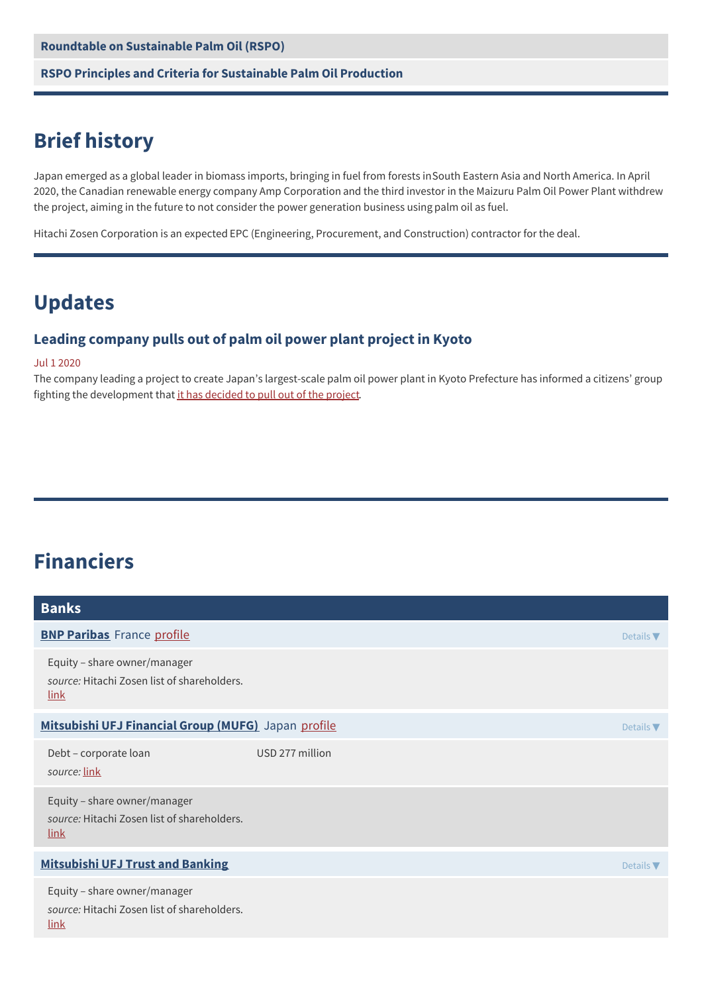#### **RSPO Principles and Criteria for [Sustainable](http://www.rspo.org/files/resource_centre/RSPO%20Principles%20&%20Criteria%20Document.pdf) Palm Oil Production**

## **Brief history**

Japan emerged as a global leader in biomass imports, bringing in fuel from forests inSouth Eastern Asia and North America. In April 2020, the Canadian renewable energy company Amp Corporation and the third investor in the Maizuru Palm Oil Power Plant withdrew the project, aiming in the future to not consider the power generation business using palm oil as fuel.

Hitachi Zosen Corporation is an expected EPC (Engineering, Procurement, and Construction) contractor for the deal.

## **Updates**

## **Leading company pulls out of palm oil power plant project in Kyoto**

#### Jul 1 2020

The company leading a project to create Japan's largest-scale palm oil power plant in Kyoto Prefecture has informed a citizens' group fighting the development that it has [decided](https://zenbird.media/leading-company-pulls-out-of-palm-oil-power-plant-project-in-kyoto/) to pull out of the project.

## **Financiers**

| <b>Banks</b>                                                                               |                 |                  |
|--------------------------------------------------------------------------------------------|-----------------|------------------|
| <b>BNP Paribas</b> France profile                                                          |                 | Details $\nabla$ |
| Equity - share owner/manager<br>source: Hitachi Zosen list of shareholders.<br><u>link</u> |                 |                  |
| Mitsubishi UFJ Financial Group (MUFG) Japan profile                                        |                 | Details $\nabla$ |
| Debt - corporate loan<br>source: link                                                      | USD 277 million |                  |
| Equity - share owner/manager<br>source: Hitachi Zosen list of shareholders.<br>link        |                 |                  |
| <b>Mitsubishi UFJ Trust and Banking</b>                                                    |                 | Details $\nabla$ |
| Equity - share owner/manager<br>source: Hitachi Zosen list of shareholders.<br>link        |                 |                  |